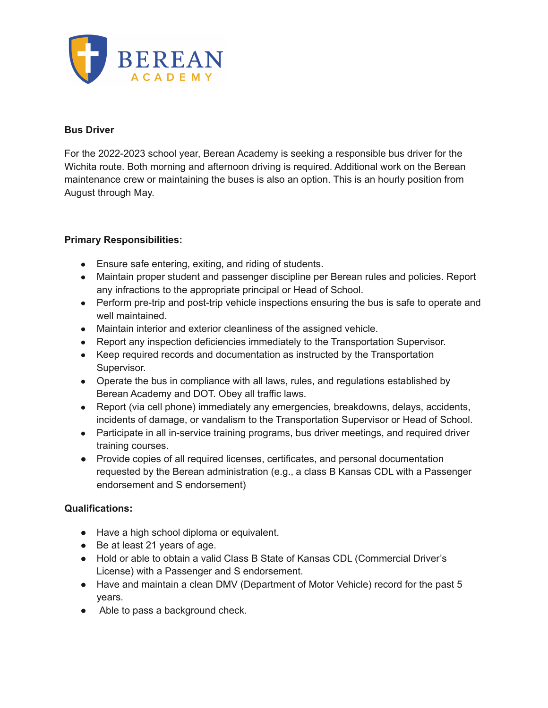

#### **Bus Driver**

For the 2022-2023 school year, Berean Academy is seeking a responsible bus driver for the Wichita route. Both morning and afternoon driving is required. Additional work on the Berean maintenance crew or maintaining the buses is also an option. This is an hourly position from August through May.

### **Primary Responsibilities:**

- Ensure safe entering, exiting, and riding of students.
- Maintain proper student and passenger discipline per Berean rules and policies. Report any infractions to the appropriate principal or Head of School.
- Perform pre-trip and post-trip vehicle inspections ensuring the bus is safe to operate and well maintained.
- Maintain interior and exterior cleanliness of the assigned vehicle.
- Report any inspection deficiencies immediately to the Transportation Supervisor.
- Keep required records and documentation as instructed by the Transportation Supervisor.
- Operate the bus in compliance with all laws, rules, and regulations established by Berean Academy and DOT. Obey all traffic laws.
- Report (via cell phone) immediately any emergencies, breakdowns, delays, accidents, incidents of damage, or vandalism to the Transportation Supervisor or Head of School.
- Participate in all in-service training programs, bus driver meetings, and required driver training courses.
- Provide copies of all required licenses, certificates, and personal documentation requested by the Berean administration (e.g., a class B Kansas CDL with a Passenger endorsement and S endorsement)

### **Qualifications:**

- Have a high school diploma or equivalent.
- Be at least 21 years of age.
- Hold or able to obtain a valid Class B State of Kansas CDL (Commercial Driver's License) with a Passenger and S endorsement.
- Have and maintain a clean DMV (Department of Motor Vehicle) record for the past 5 years.
- Able to pass a background check.